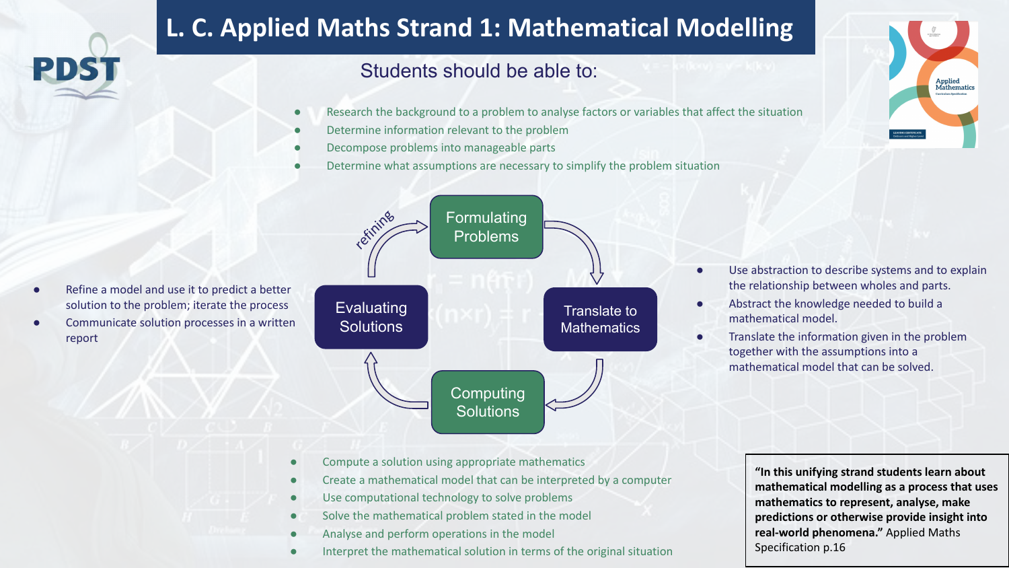## **L. C. Applied Maths Strand 1: Mathematical Modelling**

## Students should be able to:

- Research the background to a problem to analyse factors or variables that affect the situation
- Determine information relevant to the problem
- Decompose problems into manageable parts
- Determine what assumptions are necessary to simplify the problem situation



- **Formulating** Problems **Evaluating Solutions** Translate to **Mathematics Computing Solutions** refining
- Use abstraction to describe systems and to explain the relationship between wholes and parts.
- Abstract the knowledge needed to build a mathematical model.
- Translate the information given in the problem together with the assumptions into a mathematical model that can be solved.

- Compute a solution using appropriate mathematics
- Create a mathematical model that can be interpreted by a computer
- Use computational technology to solve problems
- Solve the mathematical problem stated in the model
- Analyse and perform operations in the model
- Interpret the mathematical solution in terms of the original situation

**"In this unifying strand students learn about mathematical modelling as a process that uses mathematics to represent, analyse, make predictions or otherwise provide insight into real-world phenomena."** Applied Maths Specification p.16

- Refine a model and use it to predict a better solution to the problem; iterate the process
- Communicate solution processes in a written report